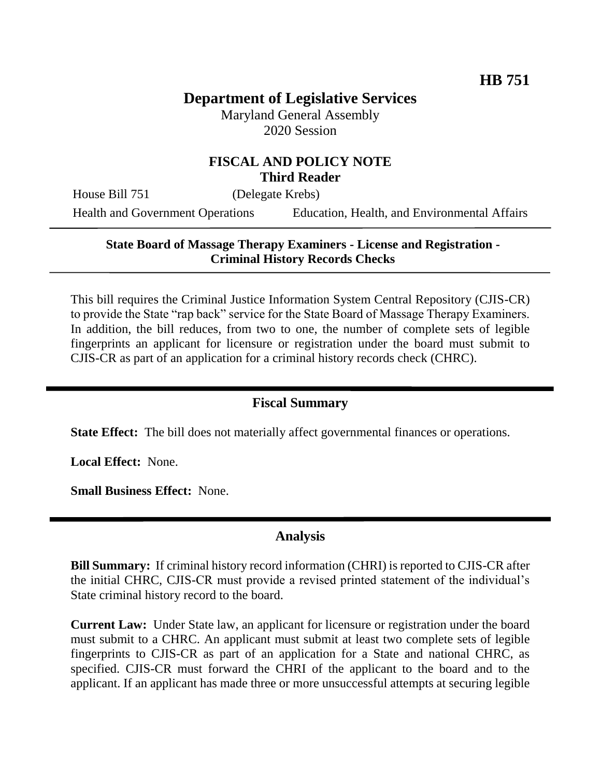# **Department of Legislative Services**

Maryland General Assembly 2020 Session

#### **FISCAL AND POLICY NOTE Third Reader**

House Bill 751 (Delegate Krebs)

Health and Government Operations Education, Health, and Environmental Affairs

## **State Board of Massage Therapy Examiners - License and Registration - Criminal History Records Checks**

This bill requires the Criminal Justice Information System Central Repository (CJIS-CR) to provide the State "rap back" service for the State Board of Massage Therapy Examiners. In addition, the bill reduces, from two to one, the number of complete sets of legible fingerprints an applicant for licensure or registration under the board must submit to CJIS-CR as part of an application for a criminal history records check (CHRC).

#### **Fiscal Summary**

**State Effect:** The bill does not materially affect governmental finances or operations.

**Local Effect:** None.

**Small Business Effect:** None.

#### **Analysis**

**Bill Summary:** If criminal history record information (CHRI) is reported to CJIS-CR after the initial CHRC, CJIS-CR must provide a revised printed statement of the individual's State criminal history record to the board.

**Current Law:** Under State law, an applicant for licensure or registration under the board must submit to a CHRC. An applicant must submit at least two complete sets of legible fingerprints to CJIS-CR as part of an application for a State and national CHRC, as specified. CJIS-CR must forward the CHRI of the applicant to the board and to the applicant. If an applicant has made three or more unsuccessful attempts at securing legible